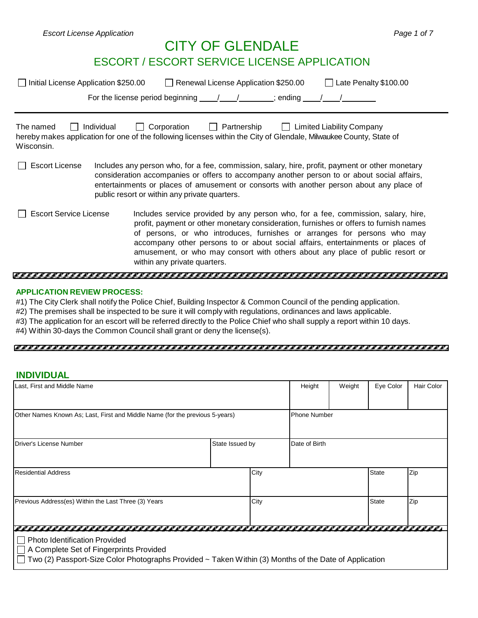# CITY OF GLENDALE

# ESCORT / ESCORT SERVICE LICENSE APPLICATION

| □ Initial License Application \$250.00 | Renewal License Application \$250.00<br>Late Penalty \$100.00<br>For the license period beginning<br>; ending                                                                                                                                                                                                                                                                                                                                              |
|----------------------------------------|------------------------------------------------------------------------------------------------------------------------------------------------------------------------------------------------------------------------------------------------------------------------------------------------------------------------------------------------------------------------------------------------------------------------------------------------------------|
| The named<br>Wisconsin.                | Individual<br>Corporation<br>Partnership<br><b>Limited Liability Company</b><br>$\mathbf{I}$<br>hereby makes application for one of the following licenses within the City of Glendale, Milwaukee County, State of                                                                                                                                                                                                                                         |
| <b>Escort License</b>                  | Includes any person who, for a fee, commission, salary, hire, profit, payment or other monetary<br>consideration accompanies or offers to accompany another person to or about social affairs,<br>entertainments or places of amusement or consorts with another person about any place of<br>public resort or within any private quarters.                                                                                                                |
| <b>Escort Service License</b>          | Includes service provided by any person who, for a fee, commission, salary, hire,<br>profit, payment or other monetary consideration, furnishes or offers to furnish names<br>of persons, or who introduces, furnishes or arranges for persons who may<br>accompany other persons to or about social affairs, entertainments or places of<br>amusement, or who may consort with others about any place of public resort or<br>within any private quarters. |

## **APPLICATION REVIEW PROCESS:**

#1) The City Clerk shall notify the Police Chief, Building Inspector & Common Council of the pending application.

- #2) The premises shall be inspected to be sure it will comply with regulations, ordinances and laws applicable.
- #3) The application for an escort will be referred directly to the Police Chief who shall supply a report within 10 days.
- #4) Within 30-days the Common Council shall grant or deny the license(s).

#### 

#### **INDIVIDUAL**

| Last, First and Middle Name                                                                                                                                                              |                 |      | Height        | Weight              | Eye Color    | <b>Hair Color</b> |
|------------------------------------------------------------------------------------------------------------------------------------------------------------------------------------------|-----------------|------|---------------|---------------------|--------------|-------------------|
|                                                                                                                                                                                          |                 |      |               |                     |              |                   |
| Other Names Known As; Last, First and Middle Name (for the previous 5-years)                                                                                                             |                 |      |               | <b>Phone Number</b> |              |                   |
| Driver's License Number                                                                                                                                                                  | State Issued by |      | Date of Birth |                     |              |                   |
| <b>Residential Address</b>                                                                                                                                                               |                 | City |               |                     | <b>State</b> | Zip               |
| Previous Address(es) Within the Last Three (3) Years                                                                                                                                     | City            |      |               |                     | <b>State</b> | Zip               |
|                                                                                                                                                                                          |                 |      |               |                     |              |                   |
| <b>Photo Identification Provided</b><br>A Complete Set of Fingerprints Provided<br>Two (2) Passport-Size Color Photographs Provided ~ Taken Within (3) Months of the Date of Application |                 |      |               |                     |              |                   |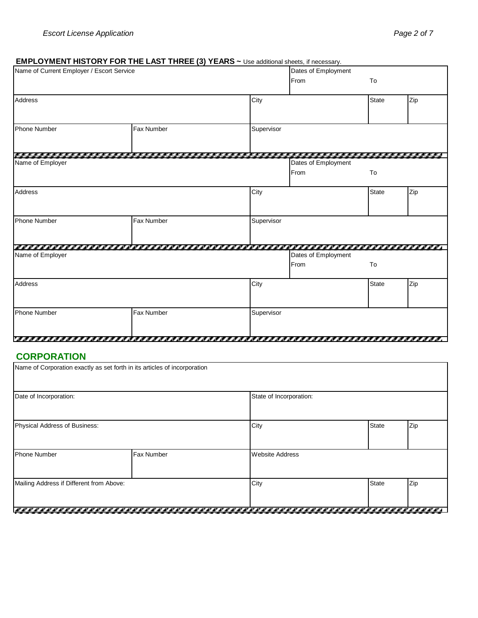## **EMPLOYMENT HISTORY FOR THE LAST THREE (3) YEARS ~** Use additional sheets, if necessary.

| Name of Current Employer / Escort Service |                   | $\sim$ $\sim$ 030 additional streets, if necessary. | Dates of Employment |              |     |
|-------------------------------------------|-------------------|-----------------------------------------------------|---------------------|--------------|-----|
|                                           |                   |                                                     | From                | To           |     |
| Address                                   |                   | City                                                |                     | <b>State</b> | Zip |
|                                           |                   |                                                     |                     |              |     |
| <b>Phone Number</b>                       | Fax Number        | Supervisor                                          |                     |              |     |
|                                           | ,,,,,,,,,,,       | .                                                   |                     |              |     |
| Name of Employer                          |                   |                                                     | Dates of Employment |              |     |
|                                           |                   |                                                     | From                | To           |     |
| Address                                   |                   | City                                                |                     | <b>State</b> | Zip |
|                                           |                   |                                                     |                     |              |     |
| <b>Phone Number</b>                       | <b>Fax Number</b> | Supervisor                                          |                     |              |     |
|                                           |                   |                                                     |                     |              |     |
| Name of Employer                          |                   |                                                     | Dates of Employment |              |     |
|                                           |                   |                                                     | From                | To           |     |
| Address                                   |                   | City                                                |                     | <b>State</b> | Zip |
| <b>Phone Number</b>                       | Fax Number        | Supervisor                                          |                     |              |     |
|                                           |                   |                                                     |                     |              |     |

## **CORPORATION**

|                                          | Name of Corporation exactly as set forth in its articles of incorporation |                         |              |     |  |  |  |
|------------------------------------------|---------------------------------------------------------------------------|-------------------------|--------------|-----|--|--|--|
| Date of Incorporation:                   |                                                                           | State of Incorporation: |              |     |  |  |  |
| Physical Address of Business:            |                                                                           | City                    | <b>State</b> | Zip |  |  |  |
| <b>Phone Number</b>                      | Fax Number                                                                | <b>Website Address</b>  |              |     |  |  |  |
| Mailing Address if Different from Above: |                                                                           | City                    | <b>State</b> | Zip |  |  |  |
|                                          |                                                                           |                         |              |     |  |  |  |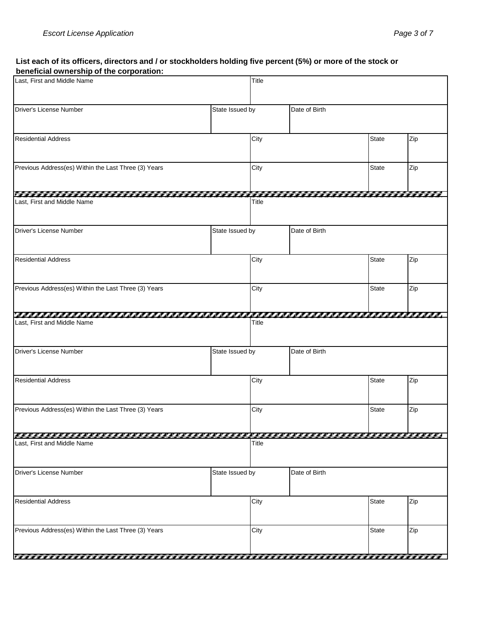#### List each of its officers, directors and / or stockholders holding five percent (5%) or more of the stock or **beneficial ownership of the corporation:**

| Last, First and Middle Name                          | Title           |                             |               |              |     |
|------------------------------------------------------|-----------------|-----------------------------|---------------|--------------|-----|
| Driver's License Number                              | State Issued by |                             | Date of Birth |              |     |
| <b>Residential Address</b>                           | City            |                             |               | <b>State</b> | Zip |
| Previous Address(es) Within the Last Three (3) Years |                 | City                        |               | <b>State</b> | Zip |
| Last, First and Middle Name                          |                 | Title                       |               |              |     |
| Driver's License Number                              | State Issued by |                             | Date of Birth |              |     |
| <b>Residential Address</b>                           |                 | City                        |               | <b>State</b> | Zip |
| Previous Address(es) Within the Last Three (3) Years |                 | City<br><b>State</b><br>Zip |               |              |     |
| Last, First and Middle Name                          |                 | Title                       |               |              |     |
| Driver's License Number                              | State Issued by |                             | Date of Birth |              |     |
| <b>Residential Address</b>                           |                 |                             |               | <b>State</b> | Zip |
| Previous Address(es) Within the Last Three (3) Years |                 | City                        |               | <b>State</b> | Zip |
| Last, First and Middle Name                          |                 | Title                       |               |              |     |
| Driver's License Number                              | State Issued by |                             | Date of Birth |              |     |
| <b>Residential Address</b>                           |                 | City                        |               | State        | Zip |
| Previous Address(es) Within the Last Three (3) Years |                 | City                        |               | <b>State</b> | Zip |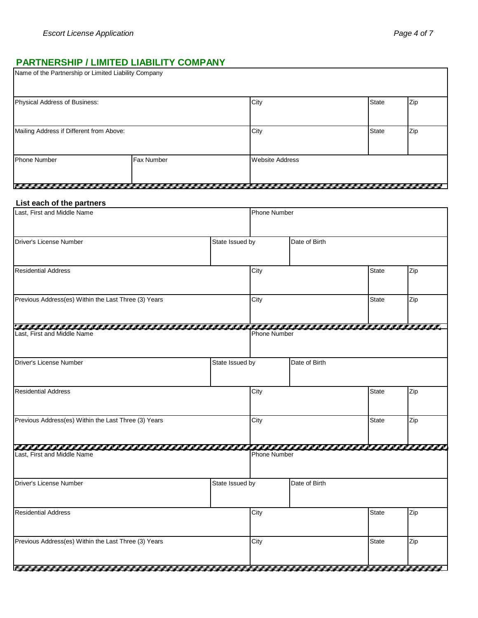# **PARTNERSHIP / LIMITED LIABILITY COMPANY**

| Name of the Partnership or Limited Liability Company |  |                        |              |     |
|------------------------------------------------------|--|------------------------|--------------|-----|
| Physical Address of Business:                        |  | City                   | <b>State</b> | Zip |
| Mailing Address if Different from Above:             |  | City                   | <b>State</b> | Zip |
| <b>Fax Number</b><br><b>Phone Number</b>             |  | <b>Website Address</b> |              |     |

### **List each of the partners**

| Last, First and Middle Name                          | <b>Phone Number</b> |                     |               |                                                      |     |
|------------------------------------------------------|---------------------|---------------------|---------------|------------------------------------------------------|-----|
| Driver's License Number                              | State Issued by     |                     | Date of Birth |                                                      |     |
| <b>Residential Address</b>                           | City                |                     |               | <b>State</b>                                         | Zip |
| Previous Address(es) Within the Last Three (3) Years | City                |                     |               | <b>State</b>                                         | Zip |
| Last, First and Middle Name                          |                     | <b>Phone Number</b> |               |                                                      |     |
| Driver's License Number                              | State Issued by     |                     | Date of Birth |                                                      |     |
| <b>Residential Address</b>                           |                     | City                |               | <b>State</b>                                         | Zip |
| Previous Address(es) Within the Last Three (3) Years |                     | City                |               | <b>State</b>                                         | Zip |
| Last, First and Middle Name                          |                     | <b>Phone Number</b> |               |                                                      |     |
| Driver's License Number                              | State Issued by     |                     | Date of Birth |                                                      |     |
| <b>Residential Address</b>                           |                     |                     |               | <b>State</b>                                         | Zip |
| Previous Address(es) Within the Last Three (3) Years |                     | City                |               | <b>State</b><br>والماليات المالية والماليات الماليات | Zip |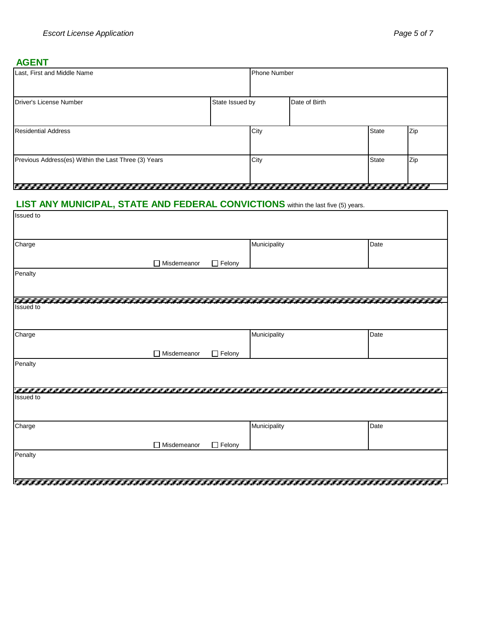$\overline{\phantom{a}}$ 

## **AGENT**

| Last, First and Middle Name                          |                 | <b>Phone Number</b> |               |              |     |
|------------------------------------------------------|-----------------|---------------------|---------------|--------------|-----|
| Driver's License Number                              | State Issued by |                     | Date of Birth |              |     |
| <b>Residential Address</b>                           |                 | City                |               | <b>State</b> | Zip |
| Previous Address(es) Within the Last Three (3) Years |                 | City                |               | <b>State</b> | Zip |

# 

#### **LIST ANY MUNICIPAL, STATE AND FEDERAL CONVICTIONS** within the last five (5) years.

| Charge           |                    |               | Municipality | Date |
|------------------|--------------------|---------------|--------------|------|
|                  |                    |               |              |      |
|                  | $\Box$ Misdemeanor | $\Box$ Felony |              |      |
| Penalty          |                    |               |              |      |
|                  |                    |               |              |      |
|                  |                    |               |              |      |
| <b>Issued</b> to |                    |               |              |      |
|                  |                    |               |              |      |
| Charge           |                    |               | Municipality | Date |
|                  |                    |               |              |      |
|                  | $\Box$ Misdemeanor | $\Box$ Felony |              |      |
| Penalty          |                    |               |              |      |
|                  |                    |               |              |      |
|                  |                    |               |              |      |
|                  |                    |               |              |      |
| <b>Issued</b> to |                    |               |              |      |
|                  |                    |               |              |      |
|                  |                    |               |              |      |
| Charge           |                    |               | Municipality | Date |
|                  | $\Box$ Misdemeanor | $\Box$ Felony |              |      |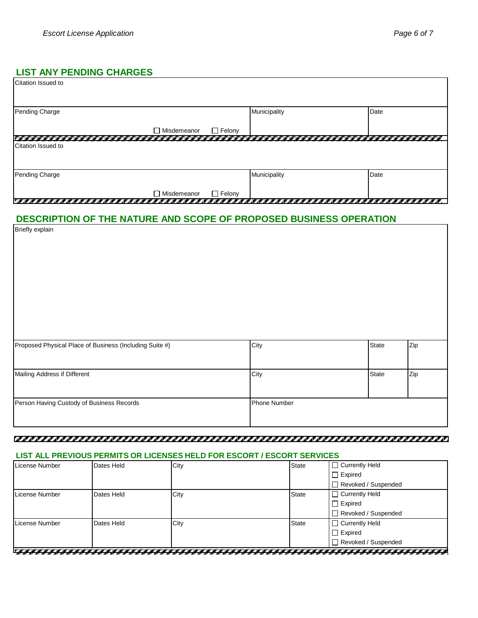## **LIST ANY PENDING CHARGES**

| Citation Issued to                                                 |             |               |              |              |     |
|--------------------------------------------------------------------|-------------|---------------|--------------|--------------|-----|
| Pending Charge                                                     |             |               | Municipality | Date         |     |
|                                                                    | Misdemeanor | $\Box$ Felony |              |              |     |
|                                                                    |             |               |              |              |     |
| Citation Issued to                                                 |             |               |              |              |     |
| Pending Charge                                                     |             |               | Municipality | Date         |     |
|                                                                    | Misdemeanor | $\Box$ Felony |              |              |     |
| ,,,,,                                                              |             | ,,,,,,,       |              |              |     |
| DESCRIPTION OF THE NATURE AND SCOPE OF PROPOSED BUSINESS OPERATION |             |               |              |              |     |
| <b>Briefly explain</b>                                             |             |               |              |              |     |
|                                                                    |             |               |              |              |     |
|                                                                    |             |               |              |              |     |
|                                                                    |             |               |              |              |     |
|                                                                    |             |               |              |              |     |
|                                                                    |             |               |              |              |     |
|                                                                    |             |               |              |              |     |
|                                                                    |             |               |              |              |     |
|                                                                    |             |               |              |              |     |
|                                                                    |             |               |              |              |     |
|                                                                    |             |               |              |              |     |
|                                                                    |             |               |              |              |     |
| Proposed Physical Place of Business (Including Suite #)            |             |               | City         | <b>State</b> | Zip |
|                                                                    |             |               |              |              |     |
|                                                                    |             |               |              |              |     |
| Mailing Address if Different                                       |             |               | City         | <b>State</b> | Zip |
|                                                                    |             |               |              |              |     |
|                                                                    |             |               |              |              |     |
|                                                                    |             |               | Phone Number |              |     |
| Person Having Custody of Business Records                          |             |               |              |              |     |
|                                                                    |             |               |              |              |     |
|                                                                    |             |               |              |              |     |

#### 

### **LIST ALL PREVIOUS PERMITS OR LICENSES HELD FOR ESCORT / ESCORT SERVICES**

| License Number | Dates Held | City | $\Box$ Currently Held<br><b>State</b> |
|----------------|------------|------|---------------------------------------|
|                |            |      | $\Box$ Expired                        |
|                |            |      | □ Revoked / Suspended                 |
| License Number | Dates Held | City | □ Currently Held<br>State             |
|                |            |      | $\Box$ Expired                        |
|                |            |      | Revoked / Suspended                   |
| License Number | Dates Held | City | $\Box$ Currently Held<br><b>State</b> |
|                |            |      | $\Box$ Expired                        |
|                |            |      | Revoked / Suspended                   |
|                |            |      |                                       |